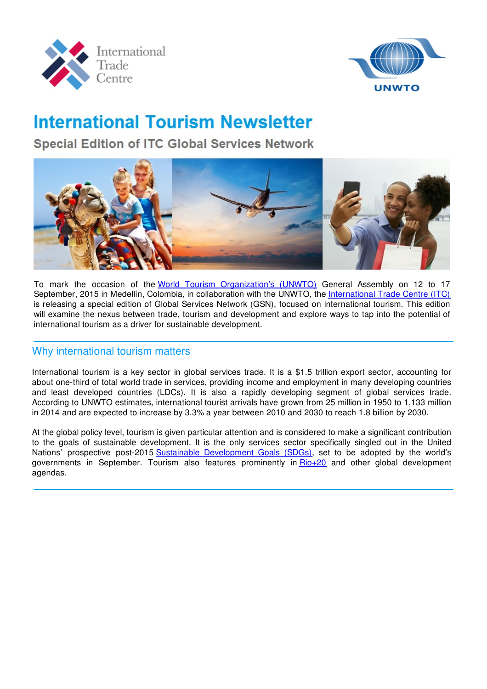



# **International Tourism Newsletter**

**Special Edition of ITC Global Services Network** 



To mark the occasion of the World Tourism [Organization's](http://www2.unwto.org/) (UNWTO) General Assembly on 12 to 17 September, 2015 in Medellín, Colombia, in collaboration with the UNWTO, the [International](http://www.intracen.org) Trade Centre (ITC) is releasing a special edition of Global Services Network (GSN), focused on international tourism. This edition will examine the nexus between trade, tourism and development and explore ways to tap into the potential of international tourism as a driver for sustainable development.

#### Why international tourism matters

International tourism is a key sector in global services trade. It is a \$1.5 trillion export sector, accounting for about one-third of total world trade in services, providing income and employment in many developing countries and least developed countries (LDCs). It is also a rapidly developing segment of global services trade. According to UNWTO estimates, international tourist arrivals have grown from 25 million in 1950 to 1,133 million in 2014 and are expected to increase by 3.3% a year between 2010 and 2030 to reach 1.8 billion by 2030.

At the global policy level, tourism is given particular attention and is considered to make a significant contribution to the goals of sustainable development. It is the only services sector specifically singled out in the United Nations' prospective post-2015 Sustainable [Development](https://sustainabledevelopment.un.org/sdgsproposal.html) Goals (SDGs), set to be adopted by the world's governments in September. Tourism also features prominently in [Rio+20](http://www.uncsd2012.org) and other global development agendas.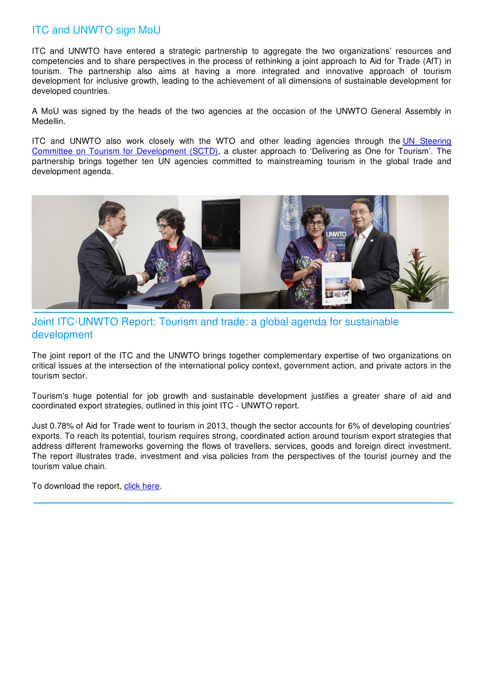# ITC and UNWTO sign MoU

ITC and UNWTO have entered a strategic partnership to aggregate the two organizations' resources and competencies and to share perspectives in the process of rethinking a joint approach to Aid for Trade (AfT) in tourism. The partnership also aims at having a more integrated and innovative approach of tourism development for inclusive growth, leading to the achievement of all dimensions of sustainable development for developed countries.

A MoU was signed by the heads of the two agencies at the occasion of the UNWTO General Assembly in Medellin.

ITC and UNWTO also work closely with the WTO and other leading agencies through the UN Steering Committee on Tourism for [Development](http://icr.unwto.org/sctd) (SCTD), a cluster approach to 'Delivering as One for Tourism'. The partnership brings together ten UN agencies committed to mainstreaming tourism in the global trade and development agenda.



#### Joint ITC-UNWTO Report: Tourism and trade: a global agenda for sustainable development

The joint report of the ITC and the UNWTO brings together complementary expertise of two organizations on critical issues at the intersection of the international policy context, government action, and private actors in the tourism sector.

Tourism's huge potential for job growth and sustainable development justifies a greater share of aid and coordinated export strategies, outlined in this joint ITC - UNWTO report.

Just 0.78% of Aid for Trade went to tourism in 2013, though the sector accounts for 6% of developing countries' exports. To reach its potential, tourism requires strong, coordinated action around tourism export strategies that address different frameworks governing the flows of travellers, services, goods and foreign direct investment. The report illustrates trade, investment and visa policies from the perspectives of the tourist journey and the tourism value chain.

To download the report, click [here](http://www.intracen.org/publication/Tourism-and-Trade-A-Global-Agenda-for-Sustainable-Development/).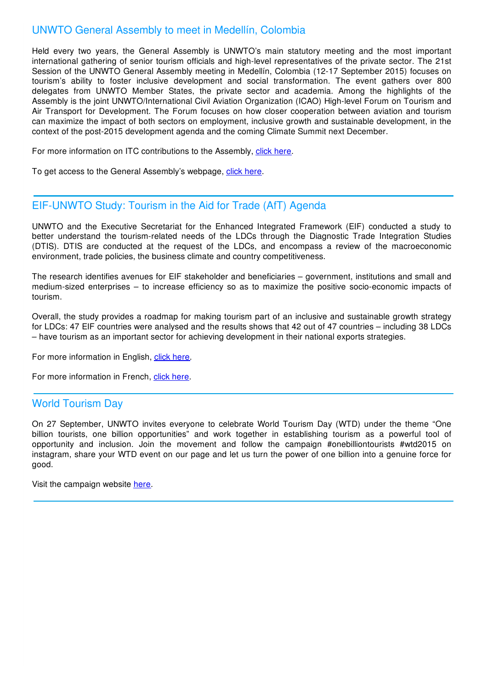#### UNWTO General Assembly to meet in Medellín, Colombia

Held every two years, the General Assembly is UNWTO's main statutory meeting and the most important international gathering of senior tourism officials and high-level representatives of the private sector. The 21st Session of the UNWTO General Assembly meeting in Medellín, Colombia (12-17 September 2015) focuses on tourism's ability to foster inclusive development and social transformation. The event gathers over 800 delegates from UNWTO Member States, the private sector and academia. Among the highlights of the Assembly is the joint UNWTO/International Civil Aviation Organization (ICAO) High-level Forum on Tourism and Air Transport for Development. The Forum focuses on how closer cooperation between aviation and tourism can maximize the impact of both sectors on employment, inclusive growth and sustainable development, in the context of the post-2015 development agenda and the coming Climate Summit next December.

For more information on ITC contributions to the Assembly, click [here.](http://www.intracen.org/event/UNWTO-General-Assembly/)

To get access to the General Assembly's webpage, click [here](http://unwtoga2015.org/en).

#### EIF-UNWTO Study: Tourism in the Aid for Trade (AfT) Agenda

UNWTO and the Executive Secretariat for the Enhanced Integrated Framework (EIF) conducted a study to better understand the tourism-related needs of the LDCs through the Diagnostic Trade Integration Studies (DTIS). DTIS are conducted at the request of the LDCs, and encompass a review of the macroeconomic environment, trade policies, the business climate and country competitiveness.

The research identifies avenues for EIF stakeholder and beneficiaries – government, institutions and small and medium-sized enterprises – to increase efficiency so as to maximize the positive socio-economic impacts of tourism.

Overall, the study provides a roadmap for making tourism part of an inclusive and sustainable growth strategy for LDCs: 47 EIF countries were analysed and the results shows that 42 out of 47 countries – including 38 LDCs – have tourism as an important sector for achieving development in their national exports strategies.

For more information in English, click [here](http://www.e-unwto.org/doi/book/10.18111/9789284417124).

For more information in French, click [here](http://www.e-unwto.org/doi/book/10.18111/9789284417230).

#### World Tourism Day

On 27 September, UNWTO invites everyone to celebrate World Tourism Day (WTD) under the theme "One billion tourists, one billion opportunities" and work together in establishing tourism as a powerful tool of opportunity and inclusion. Join the movement and follow the campaign #onebilliontourists #wtd2015 on instagram, share your WTD event on our page and let us turn the power of one billion into a genuine force for good.

Visit the campaign website [here](http://wtd.unwto.org/).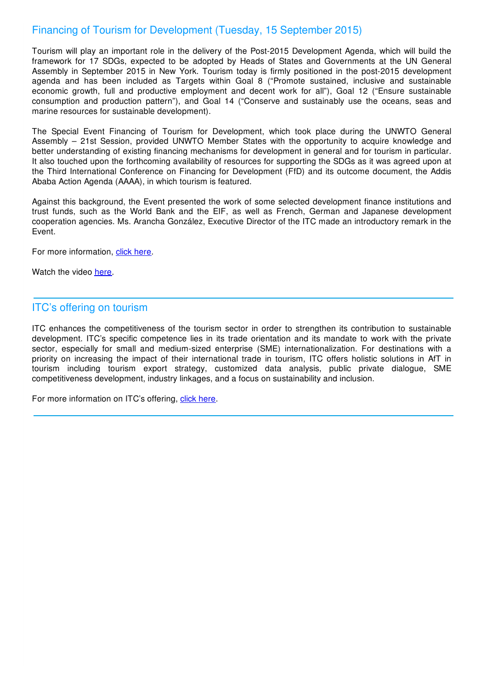### Financing of Tourism for Development (Tuesday, 15 September 2015)

Tourism will play an important role in the delivery of the Post-2015 Development Agenda, which will build the framework for 17 SDGs, expected to be adopted by Heads of States and Governments at the UN General Assembly in September 2015 in New York. Tourism today is firmly positioned in the post-2015 development agenda and has been included as Targets within Goal 8 ("Promote sustained, inclusive and sustainable economic growth, full and productive employment and decent work for all"), Goal 12 ("Ensure sustainable consumption and production pattern"), and Goal 14 ("Conserve and sustainably use the oceans, seas and marine resources for sustainable development).

The Special Event Financing of Tourism for Development, which took place during the UNWTO General Assembly – 21st Session, provided UNWTO Member States with the opportunity to acquire knowledge and better understanding of existing financing mechanisms for development in general and for tourism in particular. It also touched upon the forthcoming availability of resources for supporting the SDGs as it was agreed upon at the Third International Conference on Financing for Development (FfD) and its outcome document, the Addis Ababa Action Agenda (AAAA), in which tourism is featured.

Against this background, the Event presented the work of some selected development finance institutions and trust funds, such as the World Bank and the EIF, as well as French, German and Japanese development cooperation agencies. Ms. Arancha González, Executive Director of the ITC made an introductory remark in the Event.

For more information, click [here.](http://icr.unwto.org/news/2015-08-13/unwto-presents-special-event-financing-tourism-development)

Watch the video [here](https://www.youtube.com/watch?v=WDw7qAuYYbo).

#### ITC's offering on tourism

ITC enhances the competitiveness of the tourism sector in order to strengthen its contribution to sustainable development. ITC's specific competence lies in its trade orientation and its mandate to work with the private sector, especially for small and medium-sized enterprise (SME) internationalization. For destinations with a priority on increasing the impact of their international trade in tourism, ITC offers holistic solutions in AfT in tourism including tourism export strategy, customized data analysis, public private dialogue, SME competitiveness development, industry linkages, and a focus on sustainability and inclusion.

For more information on ITC's offering, click [here](http://www.intracen.org/itc/sectors/tourism/).